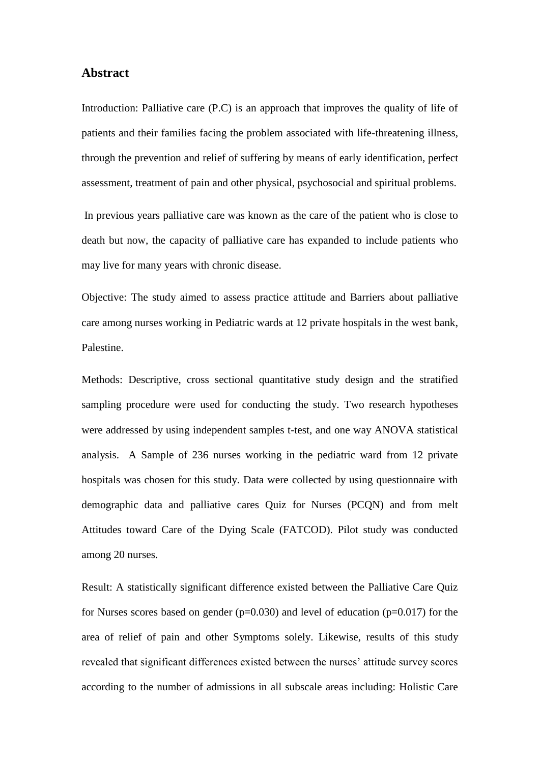## **Abstract**

Introduction: Palliative care (P.C) is an approach that improves the quality of life of patients and their families facing the problem associated with life-threatening illness, through the prevention and relief of suffering by means of early identification, perfect assessment, treatment of pain and other physical, psychosocial and spiritual problems.

In previous years palliative care was known as the care of the patient who is close to death but now, the capacity of palliative care has expanded to include patients who may live for many years with chronic disease.

Objective: The study aimed to assess practice attitude and Barriers about palliative care among nurses working in Pediatric wards at 12 private hospitals in the west bank, Palestine.

Methods: Descriptive, cross sectional quantitative study design and the stratified sampling procedure were used for conducting the study. Two research hypotheses were addressed by using independent samples t-test, and one way ANOVA statistical analysis. A Sample of 236 nurses working in the pediatric ward from 12 private hospitals was chosen for this study. Data were collected by using questionnaire with demographic data and palliative cares Quiz for Nurses (PCQN) and from melt Attitudes toward Care of the Dying Scale (FATCOD). Pilot study was conducted among 20 nurses.

Result: A statistically significant difference existed between the Palliative Care Quiz for Nurses scores based on gender  $(p=0.030)$  and level of education  $(p=0.017)$  for the area of relief of pain and other Symptoms solely. Likewise, results of this study revealed that significant differences existed between the nurses' attitude survey scores according to the number of admissions in all subscale areas including: Holistic Care